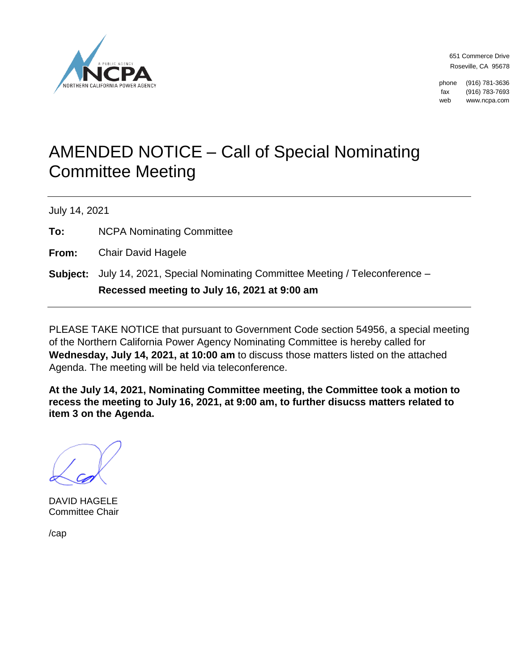

651 Commerce Drive Roseville, CA 95678

phone (916) 781-3636 fax (916) 783-7693 web www.ncpa.com

## AMENDED NOTICE – Call of Special Nominating Committee Meeting

July 14, 2021

**To:** NCPA Nominating Committee

**From:** Chair David Hagele

**Subject:** July 14, 2021, Special Nominating Committee Meeting / Teleconference – **Recessed meeting to July 16, 2021 at 9:00 am**

PLEASE TAKE NOTICE that pursuant to Government Code section 54956, a special meeting of the Northern California Power Agency Nominating Committee is hereby called for **Wednesday, July 14, 2021, at 10:00 am** to discuss those matters listed on the attached Agenda. The meeting will be held via teleconference.

**At the July 14, 2021, Nominating Committee meeting, the Committee took a motion to recess the meeting to July 16, 2021, at 9:00 am, to further disucss matters related to item 3 on the Agenda.**

DAVID HAGELE Committee Chair

/cap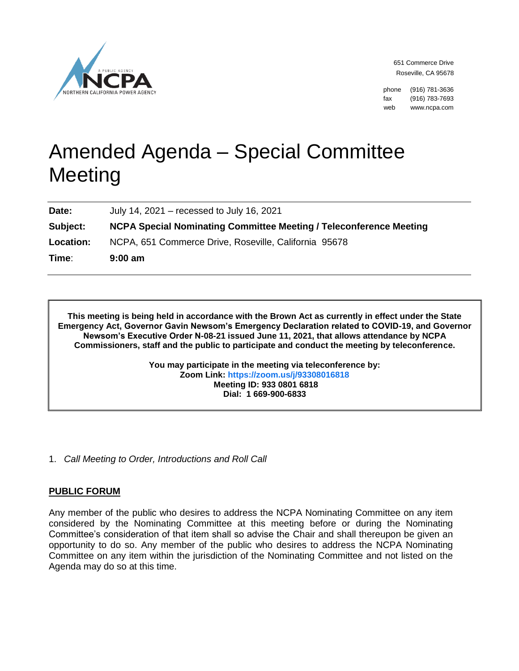

651 Commerce Drive Roseville, CA 95678

phone (916) 781-3636 fax (916) 783-7693 web www.ncpa.com

# Amended Agenda – Special Committee Meeting

**Date:** July 14, 2021 – recessed to July 16, 2021

**Subject: NCPA Special Nominating Committee Meeting / Teleconference Meeting**

**Location:** NCPA, 651 Commerce Drive, Roseville, California 95678

**Time**: **9:00 am**

**This meeting is being held in accordance with the Brown Act as currently in effect under the State Emergency Act, Governor Gavin Newsom's Emergency Declaration related to COVID-19, and Governor Newsom's Executive Order N-08-21 issued June 11, 2021, that allows attendance by NCPA Commissioners, staff and the public to participate and conduct the meeting by teleconference.**

> **You may participate in the meeting via teleconference by: Zoom Link:<https://zoom.us/j/93308016818> Meeting ID: 933 0801 6818 Dial: 1 669-900-6833**

1. *Call Meeting to Order, Introductions and Roll Call*

### **PUBLIC FORUM**

Any member of the public who desires to address the NCPA Nominating Committee on any item considered by the Nominating Committee at this meeting before or during the Nominating Committee's consideration of that item shall so advise the Chair and shall thereupon be given an opportunity to do so. Any member of the public who desires to address the NCPA Nominating Committee on any item within the jurisdiction of the Nominating Committee and not listed on the Agenda may do so at this time.